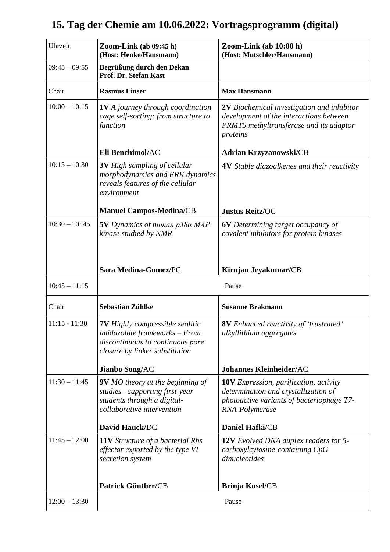## Uhrzeit **Zoom-Link (ab 09:45 h) (Host: Henke/Hansmann) Zoom-Link (ab 10:00 h) (Host: Mutschler/Hansmann)** 09:45 – 09:55 **Begrüßung durch den Dekan Prof. Dr. Stefan Kast** Chair **Rasmus Linser Max Hansmann** 10:00 – 10:15 **1V** *A journey through coordination cage self-sorting: from structure to function* **Eli Benchimol/**AC **2V** *Biochemical investigation and inhibitor development of the interactions between PRMT5 methyltransferase and its adaptor proteins* **Adrian Krzyzanowski/**CB 10:15 – 10:30 **3V** *High sampling of cellular morphodynamics and ERK dynamics reveals features of the cellular environment* **Manuel Campos-Medina/**CB **4V** *Stable diazoalkenes and their reactivity* **Justus Reitz/**OC 10:30 – 10: 45 **5V** *Dynamics of human p38α MAP kinase studied by NMR* **Sara Medina-Gomez/**PC **6V** *Determining target occupancy of covalent inhibitors for protein kinases* **Kirujan Jeyakumar/**CB 10:45 – 11:15 Pause Chair **Sebastian Zühlke Susanne Brakmann** 11:15 - 11:30 **7V** *Highly compressible zeolitic imidazolate frameworks – From discontinuous to continuous pore closure by linker substitution* **Jianbo Song/**AC **8V** *Enhanced reactivity of 'frustrated' alkyllithium aggregates* **Johannes Kleinheider/**AC 11:30 – 11:45 **9V** *MO* theory at the beginning of *studies - supporting first-year students through a digitalcollaborative intervention* **David Hauck/**DC **10V** *Expression, purification, activity determination and crystallization of photoactive variants of bacteriophage T7- RNA-Polymerase* **Daniel Hafki/**CB 11:45 – 12:00 **11V** *Structure of a bacterial Rhs effector exported by the type VI secretion system* **Patrick Günther/**CB **12V** *Evolved DNA duplex readers for 5 carboxylcytosine-containing CpG dinucleotides* **Brinja Kosel/**CB 12:00 – 13:30 Pause

## **15. Tag der Chemie am 10.06.2022: Vortragsprogramm (digital)**